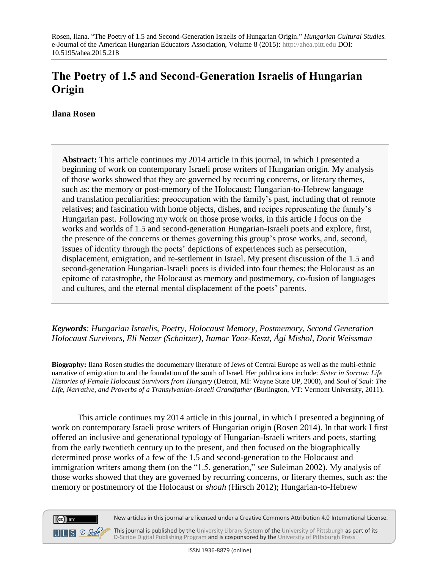# **The Poetry of 1.5 and Second-Generation Israelis of Hungarian Origin**

**Ilana Rosen**

 $(cc)$  BY

**Abstract:** This article continues my 2014 article in this journal, in which I presented a beginning of work on contemporary Israeli prose writers of Hungarian origin. My analysis of those works showed that they are governed by recurring concerns, or literary themes, such as: the memory or post-memory of the Holocaust; Hungarian-to-Hebrew language and translation peculiarities; preoccupation with the family's past, including that of remote relatives; and fascination with home objects, dishes, and recipes representing the family's Hungarian past. Following my work on those prose works, in this article I focus on the works and worlds of 1.5 and second-generation Hungarian-Israeli poets and explore, first, the presence of the concerns or themes governing this group's prose works, and, second, issues of identity through the poets' depictions of experiences such as persecution, displacement, emigration, and re-settlement in Israel. My present discussion of the 1.5 and second-generation Hungarian-Israeli poets is divided into four themes: the Holocaust as an epitome of catastrophe, the Holocaust as memory and postmemory, co-fusion of languages and cultures, and the eternal mental displacement of the poets' parents.

*Keywords: Hungarian Israelis, Poetry, Holocaust Memory, Postmemory, Second Generation Holocaust Survivors, Eli Netzer (Schnitzer), Itamar Yaoz-Keszt, Ági Mishol, Dorit Weissman*

**Biography:** Ilana Rosen studies the documentary literature of Jews of Central Europe as well as the multi-ethnic narrative of emigration to and the foundation of the south of Israel. Her publications include: *Sister in Sorrow: Life Histories of Female Holocaust Survivors from Hungary* (Detroit, MI: Wayne State UP, 2008), and *Soul of Saul: The Life, Narrative, and Proverbs of a Transylvanian-Israeli Grandfather* (Burlington, VT: Vermont University, 2011).

This article continues my 2014 article in this journal, in which I presented a beginning of work on contemporary Israeli prose writers of Hungarian origin (Rosen 2014). In that work I first offered an inclusive and generational typology of Hungarian-Israeli writers and poets, starting from the early twentieth century up to the present, and then focused on the biographically determined prose works of a few of the 1.5 and second-generation to the Holocaust and immigration writers among them (on the "1.5. generation," see Suleiman 2002). My analysis of those works showed that they are governed by recurring concerns, or literary themes, such as: the memory or postmemory of the Holocaust or *shoah* (Hirsch 2012); Hungarian-to-Hebrew

New articles in this journal are licensed under a Creative Commons Attribution 4.0 International License.

 $UILS 2-<sub>Schk</sub>$ This journal is published by th[e University Library System](http://www.library.pitt.edu/) of th[e University of Pittsburgh](http://www.pitt.edu/) as part of its [D-Scribe Digital Publishing Program](http://www.library.pitt.edu/articles/digpubtype/index.html) and is cosponsored by the [University of Pittsburgh Press](http://upress.pitt.edu/)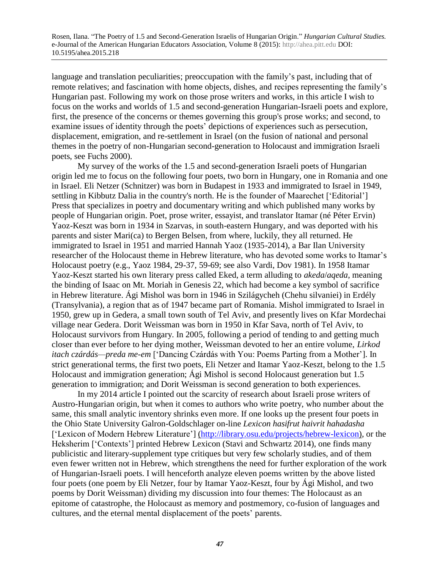language and translation peculiarities; preoccupation with the family's past, including that of remote relatives; and fascination with home objects, dishes, and recipes representing the family's Hungarian past. Following my work on those prose writers and works, in this article I wish to focus on the works and worlds of 1.5 and second-generation Hungarian-Israeli poets and explore, first, the presence of the concerns or themes governing this group's prose works; and second, to examine issues of identity through the poets' depictions of experiences such as persecution, displacement, emigration, and re-settlement in Israel (on the fusion of national and personal themes in the poetry of non-Hungarian second-generation to Holocaust and immigration Israeli poets, see Fuchs 2000).

My survey of the works of the 1.5 and second-generation Israeli poets of Hungarian origin led me to focus on the following four poets, two born in Hungary, one in Romania and one in Israel. Eli Netzer (Schnitzer) was born in Budapest in 1933 and immigrated to Israel in 1949, settling in Kibbutz Dalia in the country's north. He is the founder of Maarechet ['Editorial'] Press that specializes in poetry and documentary writing and which published many works by people of Hungarian origin. Poet, prose writer, essayist, and translator Itamar (né Péter Ervin) Yaoz-Keszt was born in 1934 in Szarvas, in south-eastern Hungary, and was deported with his parents and sister Mari(ca) to Bergen Belsen, from where, luckily, they all returned. He immigrated to Israel in 1951 and married Hannah Yaoz (1935-2014), a Bar Ilan University researcher of the Holocaust theme in Hebrew literature, who has devoted some works to Itamar's Holocaust poetry (e.g., Yaoz 1984, 29-37, 59-69; see also Vardi, Dov 1981). In 1958 Itamar Yaoz-Keszt started his own literary press called Eked, a term alluding to *akeda*/*aqeda*, meaning the binding of Isaac on Mt. Moriah in Genesis 22, which had become a key symbol of sacrifice in Hebrew literature. Ági Mishol was born in 1946 in Szilágycheh (Chehu silvaniei) in Erdély (Transylvania), a region that as of 1947 became part of Romania. Mishol immigrated to Israel in 1950, grew up in Gedera, a small town south of Tel Aviv, and presently lives on Kfar Mordechai village near Gedera. Dorit Weissman was born in 1950 in Kfar Sava, north of Tel Aviv, to Holocaust survivors from Hungary. In 2005, following a period of tending to and getting much closer than ever before to her dying mother, Weissman devoted to her an entire volume, *Lirkod itach czárdás—preda me-em* ['Dancing Czárdás with You: Poems Parting from a Mother']. In strict generational terms, the first two poets, Eli Netzer and Itamar Yaoz-Keszt, belong to the 1.5 Holocaust and immigration generation; Ági Mishol is second Holocaust generation but 1.5 generation to immigration; and Dorit Weissman is second generation to both experiences.

In my 2014 article I pointed out the scarcity of research about Israeli prose writers of Austro-Hungarian origin, but when it comes to authors who write poetry, who number about the same, this small analytic inventory shrinks even more. If one looks up the present four poets in the Ohio State University Galron-Goldschlager on-line *Lexicon hasifrut haivrit hahadasha* ['Lexicon of Modern Hebrew Literature'] [\(http://library.osu.edu/projects/hebrew-lexicon\),](file:///C:/Users/Voros/AppData/Local/AppData/Local/Microsoft/Windows/Temporary%20Internet%20Files/Content.IE5/PF0J1ACL/(http:/library.osu.edu/projects/hebrew-lexicon)) or the Heksherim ['Contexts'] printed Hebrew Lexicon (Stavi and Schwartz 2014), one finds many publicistic and literary-supplement type critiques but very few scholarly studies, and of them even fewer written not in Hebrew, which strengthens the need for further exploration of the work of Hungarian-Israeli poets. I will henceforth analyze eleven poems written by the above listed four poets (one poem by Eli Netzer, four by Itamar Yaoz-Keszt, four by Ági Mishol, and two poems by Dorit Weissman) dividing my discussion into four themes: The Holocaust as an epitome of catastrophe, the Holocaust as memory and postmemory, co-fusion of languages and cultures, and the eternal mental displacement of the poets' parents.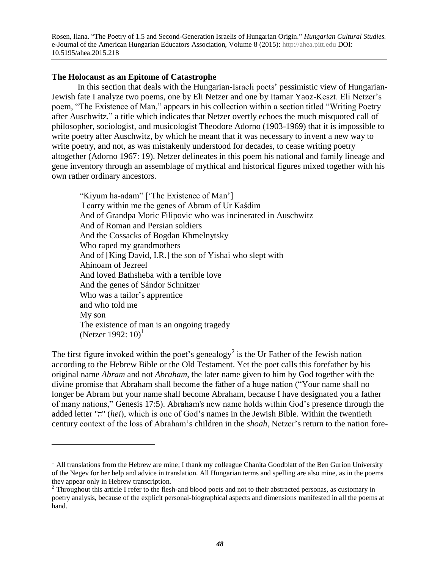### **The Holocaust as an Epitome of Catastrophe**

 $\overline{a}$ 

In this section that deals with the Hungarian-Israeli poets' pessimistic view of Hungarian-Jewish fate I analyze two poems, one by Eli Netzer and one by Itamar Yaoz-Keszt. Eli Netzer's poem, "The Existence of Man," appears in his collection within a section titled "Writing Poetry after Auschwitz," a title which indicates that Netzer overtly echoes the much misquoted call of philosopher, sociologist, and musicologist Theodore Adorno (1903-1969) that it is impossible to write poetry after Auschwitz, by which he meant that it was necessary to invent a new way to write poetry, and not, as was mistakenly understood for decades, to cease writing poetry altogether (Adorno 1967: 19). Netzer delineates in this poem his national and family lineage and gene inventory through an assemblage of mythical and historical figures mixed together with his own rather ordinary ancestors.

 "Kiyum ha-adam" ['The Existence of Man'] I carry within me the genes of Abram of Ur Kaśdim And of Grandpa Moric Filipovic who was incinerated in Auschwitz And of Roman and Persian soldiers And the Cossacks of Bogdan Khmelnytsky Who raped my grandmothers And of [King David, I.R.] the son of Yishai who slept with Ahinoam of Jezreel And loved Bathsheba with a terrible love And the genes of Sándor Schnitzer Who was a tailor's apprentice and who told me My son The existence of man is an ongoing tragedy (Netzer 1992:  $10$ <sup>1</sup>)<sup>1</sup>

The first figure invoked within the poet's genealogy<sup>2</sup> is the Ur Father of the Jewish nation according to the Hebrew Bible or the Old Testament. Yet the poet calls this forefather by his original name *Abram* and not *Abraham*, the later name given to him by God together with the divine promise that Abraham shall become the father of a huge nation ("Your name shall no longer be Abram but your name shall become Abraham, because I have designated you a father of many nations," Genesis 17:5). Abraham's new name holds within God's presence through the added letter "ה) "*hei*), which is one of God's names in the Jewish Bible. Within the twentieth century context of the loss of Abraham's children in the *shoah*, Netzer's return to the nation fore-

 $<sup>1</sup>$  All translations from the Hebrew are mine; I thank my colleague Chanita Goodblatt of the Ben Gurion University</sup> of the Negev for her help and advice in translation. All Hungarian terms and spelling are also mine, as in the poems they appear only in Hebrew transcription.<br><sup>2</sup> Throughout this article I refer to the flesh-and blood poets and not to their abstracted personas, as customary in

poetry analysis, because of the explicit personal-biographical aspects and dimensions manifested in all the poems at hand.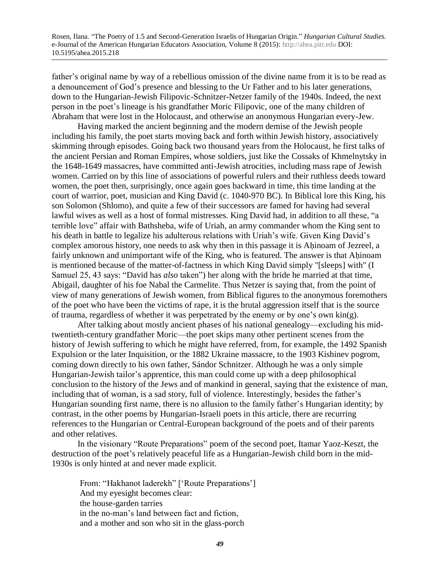father's original name by way of a rebellious omission of the divine name from it is to be read as a denouncement of God's presence and blessing to the Ur Father and to his later generations, down to the Hungarian-Jewish Filipovic-Schnitzer-Netzer family of the 1940s. Indeed, the next person in the poet's lineage is his grandfather Moric Filipovic, one of the many children of Abraham that were lost in the Holocaust, and otherwise an anonymous Hungarian every-Jew.

Having marked the ancient beginning and the modern demise of the Jewish people including his family, the poet starts moving back and forth within Jewish history, associatively skimming through episodes. Going back two thousand years from the Holocaust, he first talks of the ancient Persian and Roman Empires, whose soldiers, just like the Cossaks of Khmelnytsky in the 1648-1649 massacres, have committed anti-Jewish atrocities, including mass rape of Jewish women. Carried on by this line of associations of powerful rulers and their ruthless deeds toward women, the poet then, surprisingly, once again goes backward in time, this time landing at the court of warrior, poet, musician and King David (c. 1040-970 BC). In Biblical lore this King, his son Solomon (Shlomo), and quite a few of their successors are famed for having had several lawful wives as well as a host of formal mistresses. King David had, in addition to all these, "a terrible love" affair with Bathsheba, wife of Uriah, an army commander whom the King sent to his death in battle to legalize his adulterous relations with Uriah's wife. Given King David's complex amorous history, one needs to ask why then in this passage it is Ahinoam of Jezreel, a fairly unknown and unimportant wife of the King, who is featured. The answer is that Ahinoam is mentioned because of the matter-of-factness in which King David simply "[sleeps] with" (I Samuel 25, 43 says: "David has *also* taken") her along with the bride he married at that time, Abigail, daughter of his foe Nabal the Carmelite. Thus Netzer is saying that, from the point of view of many generations of Jewish women, from Biblical figures to the anonymous foremothers of the poet who have been the victims of rape, it is the brutal aggression itself that is the source of trauma, regardless of whether it was perpetrated by the enemy or by one's own  $\text{kin}(g)$ .

After talking about mostly ancient phases of his national genealogy—excluding his midtwentieth-century grandfather Moric—the poet skips many other pertinent scenes from the history of Jewish suffering to which he might have referred, from, for example, the 1492 Spanish Expulsion or the later Inquisition, or the 1882 Ukraine massacre, to the 1903 Kishinev pogrom, coming down directly to his own father, Sándor Schnitzer. Although he was a only simple Hungarian-Jewish tailor's apprentice, this man could come up with a deep philosophical conclusion to the history of the Jews and of mankind in general, saying that the existence of man, including that of woman, is a sad story, full of violence. Interestingly, besides the father's Hungarian sounding first name, there is no allusion to the family father's Hungarian identity; by contrast, in the other poems by Hungarian-Israeli poets in this article, there are recurring references to the Hungarian or Central-European background of the poets and of their parents and other relatives.

In the visionary "Route Preparations" poem of the second poet, Itamar Yaoz-Keszt, the destruction of the poet's relatively peaceful life as a Hungarian-Jewish child born in the mid-1930s is only hinted at and never made explicit.

 From: "Hakhanot laderekh" ['Route Preparations'] And my eyesight becomes clear: the house-garden tarries in the no-man's land between fact and fiction, and a mother and son who sit in the glass-porch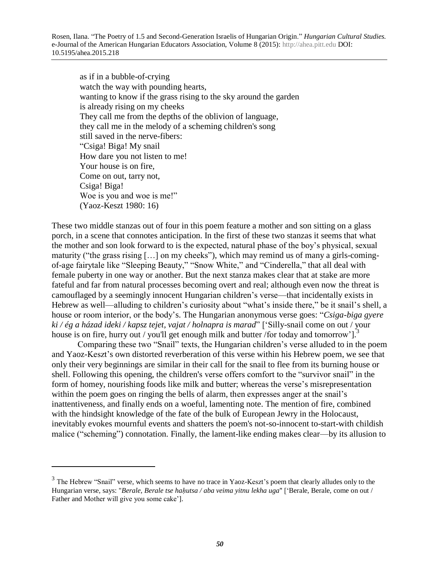as if in a bubble-of-crying watch the way with pounding hearts, wanting to know if the grass rising to the sky around the garden is already rising on my cheeks They call me from the depths of the oblivion of language, they call me in the melody of a scheming children's song still saved in the nerve-fibers: "Csiga! Biga! My snail How dare you not listen to me! Your house is on fire, Come on out, tarry not, Csiga! Biga! Woe is you and woe is me!" (Yaoz-Keszt 1980: 16)

These two middle stanzas out of four in this poem feature a mother and son sitting on a glass porch, in a scene that connotes anticipation. In the first of these two stanzas it seems that what the mother and son look forward to is the expected, natural phase of the boy's physical, sexual maturity ("the grass rising […] on my cheeks"), which may remind us of many a girls-comingof-age fairytale like "Sleeping Beauty," "Snow White," and "Cinderella," that all deal with female puberty in one way or another. But the next stanza makes clear that at stake are more fateful and far from natural processes becoming overt and real; although even now the threat is camouflaged by a seemingly innocent Hungarian children's verse—that incidentally exists in Hebrew as well—alluding to children's curiosity about "what's inside there," be it snail's shell, a house or room interior, or the body's. The Hungarian anonymous verse goes: "*Csiga-biga gyere ki / ég a házad ideki / kapsz tejet, vajat / holnapra is marad*" ['Silly-snail come on out / your house is on fire, hurry out / you'll get enough milk and butter /for today and tomorrow'].<sup>3</sup>

Comparing these two "Snail" texts, the Hungarian children's verse alluded to in the poem and Yaoz-Keszt's own distorted reverberation of this verse within his Hebrew poem, we see that only their very beginnings are similar in their call for the snail to flee from its burning house or shell. Following this opening, the children's verse offers comfort to the "survivor snail" in the form of homey, nourishing foods like milk and butter; whereas the verse's misrepresentation within the poem goes on ringing the bells of alarm, then expresses anger at the snail's inattentiveness, and finally ends on a woeful, lamenting note. The mention of fire, combined with the hindsight knowledge of the fate of the bulk of European Jewry in the Holocaust, inevitably evokes mournful events and shatters the poem's not-so-innocent to-start-with childish malice ("scheming") connotation. Finally, the lament-like ending makes clear—by its allusion to

 $\overline{a}$ 

 $3$  The Hebrew "Snail" verse, which seems to have no trace in Yaoz-Keszt's poem that clearly alludes only to the Hungarian verse, says: "*Berale, Berale tse hahutsa / aba veima yitnu lekha uga*" ['Berale, Berale, come on out / Father and Mother will give you some cake'].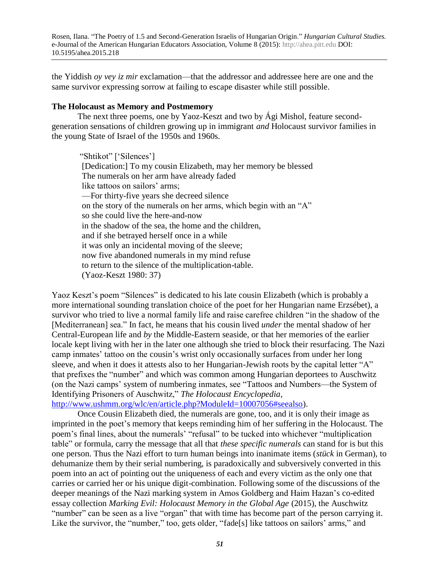the Yiddish *oy vey iz mir* exclamation—that the addressor and addressee here are one and the same survivor expressing sorrow at failing to escape disaster while still possible.

#### **The Holocaust as Memory and Postmemory**

The next three poems, one by Yaoz-Keszt and two by Ági Mishol, feature secondgeneration sensations of children growing up in immigrant *and* Holocaust survivor families in the young State of Israel of the 1950s and 1960s.

 "Shtikot" ['Silences'] [Dedication:] To my cousin Elizabeth, may her memory be blessed The numerals on her arm have already faded like tattoos on sailors' arms; —For thirty-five years she decreed silence on the story of the numerals on her arms, which begin with an "A" so she could live the here-and-now in the shadow of the sea, the home and the children, and if she betrayed herself once in a while it was only an incidental moving of the sleeve; now five abandoned numerals in my mind refuse to return to the silence of the multiplication-table. (Yaoz-Keszt 1980: 37)

Yaoz Keszt's poem "Silences" is dedicated to his late cousin Elizabeth (which is probably a more international sounding translation choice of the poet for her Hungarian name Erzsébet), a survivor who tried to live a normal family life and raise carefree children "in the shadow of the [Mediterranean] sea." In fact, he means that his cousin lived *under* the mental shadow of her Central-European life and *by* the Middle-Eastern seaside, or that her memories of the earlier locale kept living with her in the later one although she tried to block their resurfacing. The Nazi camp inmates' tattoo on the cousin's wrist only occasionally surfaces from under her long sleeve, and when it does it attests also to her Hungarian-Jewish roots by the capital letter "A" that prefixes the "number" and which was common among Hungarian deportees to Auschwitz (on the Nazi camps' system of numbering inmates, see "Tattoos and Numbers—the System of Identifying Prisoners of Auschwitz," *The Holocaust Encyclopedia*, [http://www.ushmm.org/wlc/en/article.php?ModuleId=10007056#seealso\)](http://www.ushmm.org/wlc/en/article.php?ModuleId=10007056#seealso).

Once Cousin Elizabeth died, the numerals are gone, too, and it is only their image as imprinted in the poet's memory that keeps reminding him of her suffering in the Holocaust. The poem's final lines, about the numerals' "refusal" to be tucked into whichever "multiplication table" or formula, carry the message that all that *these specific numerals* can stand for is but this one person. Thus the Nazi effort to turn human beings into inanimate items (*stück* in German), to dehumanize them by their serial numbering, is paradoxically and subversively converted in this poem into an act of pointing out the uniqueness of each and every victim as the only one that carries or carried her or his unique digit-combination. Following some of the discussions of the deeper meanings of the Nazi marking system in Amos Goldberg and Haim Hazan's co-edited essay collection *Marking Evil: Holocaust Memory in the Global Age* (2015), the Auschwitz "number" can be seen as a live "organ" that with time has become part of the person carrying it. Like the survivor, the "number," too, gets older, "fade[s] like tattoos on sailors' arms," and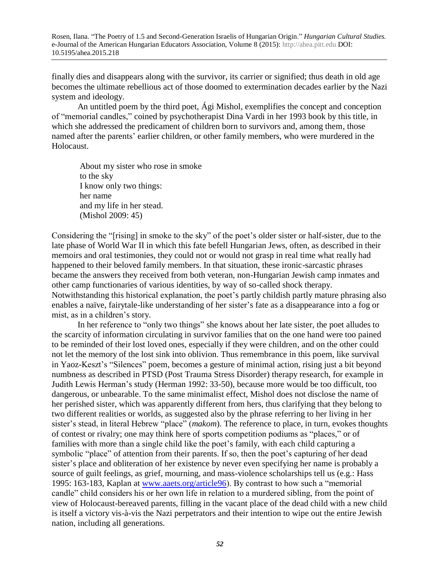finally dies and disappears along with the survivor, its carrier or signified; thus death in old age becomes the ultimate rebellious act of those doomed to extermination decades earlier by the Nazi system and ideology.

An untitled poem by the third poet, Ági Mishol, exemplifies the concept and conception of "memorial candles," coined by psychotherapist Dina Vardi in her 1993 book by this title, in which she addressed the predicament of children born to survivors and, among them, those named after the parents' earlier children, or other family members, who were murdered in the Holocaust.

 About my sister who rose in smoke to the sky I know only two things: her name and my life in her stead. (Mishol 2009: 45)

Considering the "[rising] in smoke to the sky" of the poet's older sister or half-sister, due to the late phase of World War II in which this fate befell Hungarian Jews, often, as described in their memoirs and oral testimonies, they could not or would not grasp in real time what really had happened to their beloved family members. In that situation, these ironic-sarcastic phrases became the answers they received from both veteran, non-Hungarian Jewish camp inmates and other camp functionaries of various identities, by way of so-called shock therapy. Notwithstanding this historical explanation, the poet's partly childish partly mature phrasing also enables a naïve, fairytale-like understanding of her sister's fate as a disappearance into a fog or mist, as in a children's story.

In her reference to "only two things" she knows about her late sister, the poet alludes to the scarcity of information circulating in survivor families that on the one hand were too pained to be reminded of their lost loved ones, especially if they were children, and on the other could not let the memory of the lost sink into oblivion. Thus remembrance in this poem, like survival in Yaoz-Keszt's "Silences" poem, becomes a gesture of minimal action, rising just a bit beyond numbness as described in PTSD (Post Trauma Stress Disorder) therapy research, for example in Judith Lewis Herman's study (Herman 1992: 33-50), because more would be too difficult, too dangerous, or unbearable. To the same minimalist effect, Mishol does not disclose the name of her perished sister, which was apparently different from hers, thus clarifying that they belong to two different realities or worlds, as suggested also by the phrase referring to her living in her sister's stead, in literal Hebrew "place" (*makom*). The reference to place, in turn, evokes thoughts of contest or rivalry; one may think here of sports competition podiums as "places," or of families with more than a single child like the poet's family, with each child capturing a symbolic "place" of attention from their parents. If so, then the poet's capturing of her dead sister's place and obliteration of her existence by never even specifying her name is probably a source of guilt feelings, as grief, mourning, and mass-violence scholarships tell us (e.g.: Hass 1995: 163-183, Kaplan at [www.aaets.org/article96\)](http://www.aaets.org/article96). By contrast to how such a "memorial candle" child considers his or her own life in relation to a murdered sibling, from the point of view of Holocaust-bereaved parents, filling in the vacant place of the dead child with a new child is itself a victory vis-à-vis the Nazi perpetrators and their intention to wipe out the entire Jewish nation, including all generations.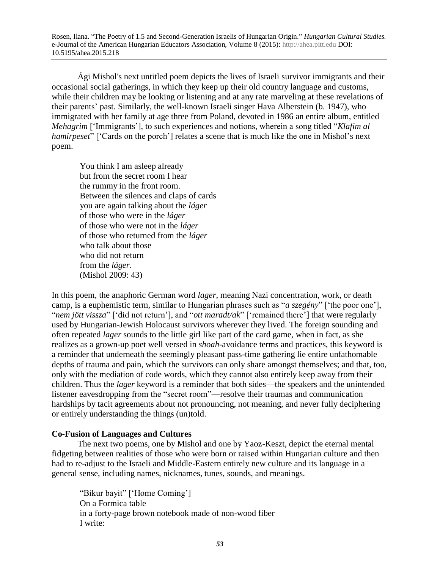Ági Mishol's next untitled poem depicts the lives of Israeli survivor immigrants and their occasional social gatherings, in which they keep up their old country language and customs, while their children may be looking or listening and at any rate marveling at these revelations of their parents' past. Similarly, the well-known Israeli singer Hava Alberstein (b. 1947), who immigrated with her family at age three from Poland, devoted in 1986 an entire album, entitled *Mehagrim* ['Immigrants'], to such experiences and notions, wherein a song titled "*Klafim al hamirpeset*" ['Cards on the porch'] relates a scene that is much like the one in Mishol's next poem.

 You think I am asleep already but from the secret room I hear the rummy in the front room. Between the silences and claps of cards you are again talking about the *láger* of those who were in the *láger* of those who were not in the *láger* of those who returned from the *láger* who talk about those who did not return from the *láger*. (Mishol 2009: 43)

In this poem, the anaphoric German word *lager*, meaning Nazi concentration, work, or death camp, is a euphemistic term, similar to Hungarian phrases such as "*a szegény*" ['the poor one'], "*nem jött vissza*" ['did not return'], and "*ott maradt/ak*" ['remained there'] that were regularly used by Hungarian-Jewish Holocaust survivors wherever they lived. The foreign sounding and often repeated *lager* sounds to the little girl like part of the card game, when in fact, as she realizes as a grown-up poet well versed in *shoah*-avoidance terms and practices, this keyword is a reminder that underneath the seemingly pleasant pass-time gathering lie entire unfathomable depths of trauma and pain, which the survivors can only share amongst themselves; and that, too, only with the mediation of code words, which they cannot also entirely keep away from their children. Thus the *lager* keyword is a reminder that both sides—the speakers and the unintended listener eavesdropping from the "secret room"—resolve their traumas and communication hardships by tacit agreements about not pronouncing, not meaning, and never fully deciphering or entirely understanding the things (un)told.

# **Co-Fusion of Languages and Cultures**

The next two poems, one by Mishol and one by Yaoz-Keszt, depict the eternal mental fidgeting between realities of those who were born or raised within Hungarian culture and then had to re-adjust to the Israeli and Middle-Eastern entirely new culture and its language in a general sense, including names, nicknames, tunes, sounds, and meanings.

 "Bikur bayit" ['Home Coming'] On a Formica table in a forty-page brown notebook made of non-wood fiber I write: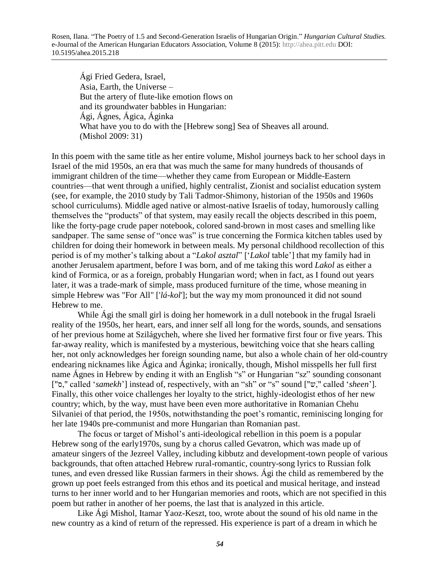Ági Fried Gedera, Israel, Asia, Earth, the Universe – But the artery of flute-like emotion flows on and its groundwater babbles in Hungarian: Ági, Ágnes, Ágica, Áginka What have you to do with the [Hebrew song] Sea of Sheaves all around. (Mishol 2009: 31)

In this poem with the same title as her entire volume, Mishol journeys back to her school days in Israel of the mid 1950s, an era that was much the same for many hundreds of thousands of immigrant children of the time—whether they came from European or Middle-Eastern countries—that went through a unified, highly centralist, Zionist and socialist education system (see, for example, the 2010 study by Tali Tadmor-Shimony, historian of the 1950s and 1960s school curriculums). Middle aged native or almost-native Israelis of today, humorously calling themselves the "products" of that system, may easily recall the objects described in this poem, like the forty-page crude paper notebook, colored sand-brown in most cases and smelling like sandpaper. The same sense of "once was" is true concerning the Formica kitchen tables used by children for doing their homework in between meals. My personal childhood recollection of this period is of my mother's talking about a "*Lakol asztal*" ['*Lakol* table'] that my family had in another Jerusalem apartment, before I was born, and of me taking this word *Lakol* as either a kind of Formica, or as a foreign, probably Hungarian word; when in fact, as I found out years later, it was a trade-mark of simple, mass produced furniture of the time, whose meaning in simple Hebrew was "For All" ['*lá-kol*']; but the way my mom pronounced it did not sound Hebrew to me.

While Ági the small girl is doing her homework in a dull notebook in the frugal Israeli reality of the 1950s, her heart, ears, and inner self all long for the words, sounds, and sensations of her previous home at Szilágycheh, where she lived her formative first four or five years. This far-away reality, which is manifested by a mysterious, bewitching voice that she hears calling her, not only acknowledges her foreign sounding name, but also a whole chain of her old-country endearing nicknames like Ágica and Áginka; ironically, though, Mishol misspells her full first name Ágnes in Hebrew by ending it with an English "s" or Hungarian "sz" sounding consonant ["ס, "called '*samekh*'] instead of, respectively, with an "sh" or "s" sound ["שֹ, "called '*sheen*']. Finally, this other voice challenges her loyalty to the strict, highly-ideologist ethos of her new country; which, by the way, must have been even more authoritative in Romanian Chehu Silvaniei of that period, the 1950s, notwithstanding the poet's romantic, reminiscing longing for her late 1940s pre-communist and more Hungarian than Romanian past.

The focus or target of Mishol's anti-ideological rebellion in this poem is a popular Hebrew song of the early1970s, sung by a chorus called Gevatron, which was made up of amateur singers of the Jezreel Valley, including kibbutz and development-town people of various backgrounds, that often attached Hebrew rural-romantic, country-song lyrics to Russian folk tunes, and even dressed like Russian farmers in their shows. Ági the child as remembered by the grown up poet feels estranged from this ethos and its poetical and musical heritage, and instead turns to her inner world and to her Hungarian memories and roots, which are not specified in this poem but rather in another of her poems, the last that is analyzed in this article.

Like Ági Mishol, Itamar Yaoz-Keszt, too, wrote about the sound of his old name in the new country as a kind of return of the repressed. His experience is part of a dream in which he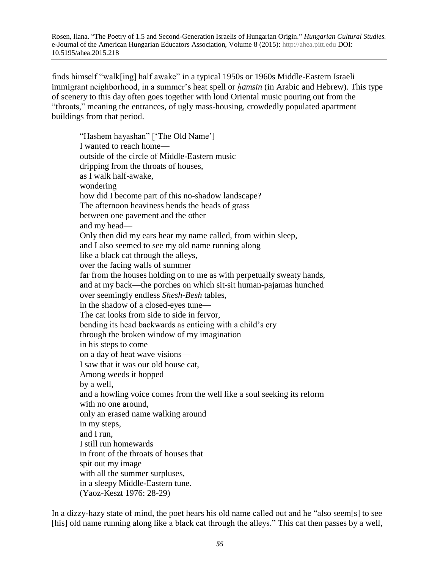finds himself "walk[ing] half awake" in a typical 1950s or 1960s Middle-Eastern Israeli immigrant neighborhood, in a summer's heat spell or *ḥamsin* (in Arabic and Hebrew). This type of scenery to this day often goes together with loud Oriental music pouring out from the "throats," meaning the entrances, of ugly mass-housing, crowdedly populated apartment buildings from that period.

"Hashem hayashan" ['The Old Name'] I wanted to reach home outside of the circle of Middle-Eastern music dripping from the throats of houses, as I walk half-awake, wondering how did I become part of this no-shadow landscape? The afternoon heaviness bends the heads of grass between one pavement and the other and my head— Only then did my ears hear my name called, from within sleep, and I also seemed to see my old name running along like a black cat through the alleys, over the facing walls of summer far from the houses holding on to me as with perpetually sweaty hands, and at my back—the porches on which sit-sit human-pajamas hunched over seemingly endless *Shesh-Besh* tables, in the shadow of a closed-eyes tune— The cat looks from side to side in fervor, bending its head backwards as enticing with a child's cry through the broken window of my imagination in his steps to come on a day of heat wave visions— I saw that it was our old house cat, Among weeds it hopped by a well, and a howling voice comes from the well like a soul seeking its reform with no one around, only an erased name walking around in my steps, and I run, I still run homewards in front of the throats of houses that spit out my image with all the summer surpluses, in a sleepy Middle-Eastern tune. (Yaoz-Keszt 1976: 28-29)

In a dizzy-hazy state of mind, the poet hears his old name called out and he "also seem[s] to see [his] old name running along like a black cat through the alleys." This cat then passes by a well,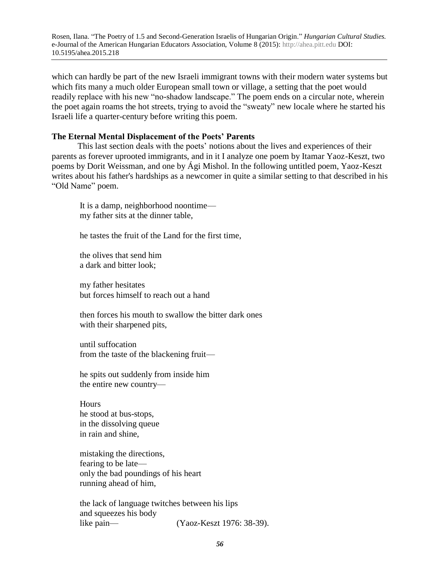which can hardly be part of the new Israeli immigrant towns with their modern water systems but which fits many a much older European small town or village, a setting that the poet would readily replace with his new "no-shadow landscape." The poem ends on a circular note, wherein the poet again roams the hot streets, trying to avoid the "sweaty" new locale where he started his Israeli life a quarter-century before writing this poem.

### **The Eternal Mental Displacement of the Poets' Parents**

This last section deals with the poets' notions about the lives and experiences of their parents as forever uprooted immigrants, and in it I analyze one poem by Itamar Yaoz-Keszt, two poems by Dorit Weissman, and one by Ági Mishol. In the following untitled poem, Yaoz-Keszt writes about his father's hardships as a newcomer in quite a similar setting to that described in his "Old Name" poem.

It is a damp, neighborhood noontime my father sits at the dinner table,

he tastes the fruit of the Land for the first time,

the olives that send him a dark and bitter look;

my father hesitates but forces himself to reach out a hand

then forces his mouth to swallow the bitter dark ones with their sharpened pits,

until suffocation from the taste of the blackening fruit—

he spits out suddenly from inside him the entire new country—

**Hours** he stood at bus-stops, in the dissolving queue in rain and shine,

mistaking the directions, fearing to be late only the bad poundings of his heart running ahead of him,

the lack of language twitches between his lips and squeezes his body like pain— (Yaoz-Keszt 1976: 38-39).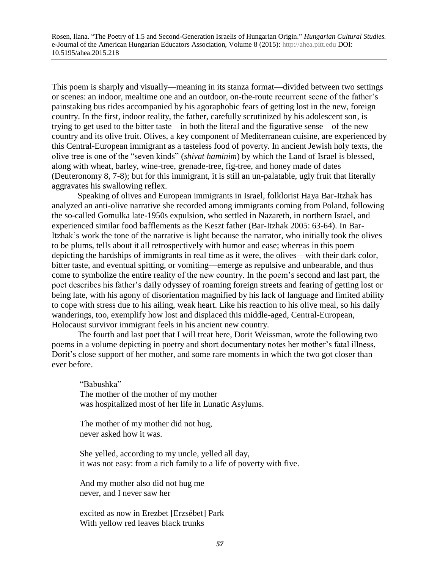This poem is sharply and visually—meaning in its stanza format—divided between two settings or scenes: an indoor, mealtime one and an outdoor, on-the-route recurrent scene of the father's painstaking bus rides accompanied by his agoraphobic fears of getting lost in the new, foreign country. In the first, indoor reality, the father, carefully scrutinized by his adolescent son, is trying to get used to the bitter taste—in both the literal and the figurative sense—of the new country and its olive fruit. Olives, a key component of Mediterranean cuisine, are experienced by this Central-European immigrant as a tasteless food of poverty. In ancient Jewish holy texts, the olive tree is one of the "seven kinds" (*shivat haminim*) by which the Land of Israel is blessed, along with wheat, barley, wine-tree, grenade-tree, fig-tree, and honey made of dates (Deuteronomy 8, 7-8); but for this immigrant, it is still an un-palatable, ugly fruit that literally aggravates his swallowing reflex.

Speaking of olives and European immigrants in Israel, folklorist Haya Bar-Itzhak has analyzed an anti-olive narrative she recorded among immigrants coming from Poland, following the so-called Gomulka late-1950s expulsion, who settled in Nazareth, in northern Israel, and experienced similar food bafflements as the Keszt father (Bar-Itzhak 2005: 63-64). In Bar-Itzhak's work the tone of the narrative is light because the narrator, who initially took the olives to be plums, tells about it all retrospectively with humor and ease; whereas in this poem depicting the hardships of immigrants in real time as it were, the olives—with their dark color, bitter taste, and eventual spitting, or vomiting—emerge as repulsive and unbearable, and thus come to symbolize the entire reality of the new country. In the poem's second and last part, the poet describes his father's daily odyssey of roaming foreign streets and fearing of getting lost or being late, with his agony of disorientation magnified by his lack of language and limited ability to cope with stress due to his ailing, weak heart. Like his reaction to his olive meal, so his daily wanderings, too, exemplify how lost and displaced this middle-aged, Central-European, Holocaust survivor immigrant feels in his ancient new country.

The fourth and last poet that I will treat here, Dorit Weissman, wrote the following two poems in a volume depicting in poetry and short documentary notes her mother's fatal illness, Dorit's close support of her mother, and some rare moments in which the two got closer than ever before.

"Babushka" The mother of the mother of my mother was hospitalized most of her life in Lunatic Asylums.

The mother of my mother did not hug, never asked how it was.

She yelled, according to my uncle, yelled all day, it was not easy: from a rich family to a life of poverty with five.

And my mother also did not hug me never, and I never saw her

excited as now in Erezbet [Erzsébet] Park With yellow red leaves black trunks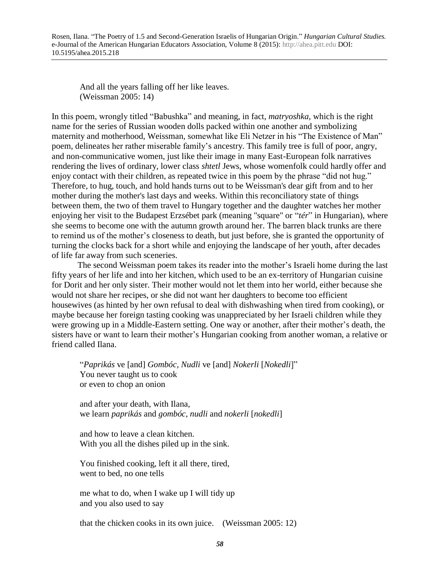And all the years falling off her like leaves. (Weissman 2005: 14)

In this poem, wrongly titled "Babushka" and meaning, in fact, *matryoshka*, which is the right name for the series of Russian wooden dolls packed within one another and symbolizing maternity and motherhood, Weissman, somewhat like Eli Netzer in his "The Existence of Man" poem, delineates her rather miserable family's ancestry. This family tree is full of poor, angry, and non-communicative women, just like their image in many East-European folk narratives rendering the lives of ordinary, lower class *shtetl* Jews, whose womenfolk could hardly offer and enjoy contact with their children, as repeated twice in this poem by the phrase "did not hug." Therefore, to hug, touch, and hold hands turns out to be Weissman's dear gift from and to her mother during the mother's last days and weeks. Within this reconciliatory state of things between them, the two of them travel to Hungary together and the daughter watches her mother enjoying her visit to the Budapest Erzsébet park (meaning "square" or "*tér*" in Hungarian), where she seems to become one with the autumn growth around her. The barren black trunks are there to remind us of the mother's closeness to death, but just before, she is granted the opportunity of turning the clocks back for a short while and enjoying the landscape of her youth, after decades of life far away from such sceneries.

The second Weissman poem takes its reader into the mother's Israeli home during the last fifty years of her life and into her kitchen, which used to be an ex-territory of Hungarian cuisine for Dorit and her only sister. Their mother would not let them into her world, either because she would not share her recipes, or she did not want her daughters to become too efficient housewives (as hinted by her own refusal to deal with dishwashing when tired from cooking), or maybe because her foreign tasting cooking was unappreciated by her Israeli children while they were growing up in a Middle-Eastern setting. One way or another, after their mother's death, the sisters have or want to learn their mother's Hungarian cooking from another woman, a relative or friend called Ilana.

"*Paprikás* ve [and] *Gombóc*, *Nudli* ve [and] *Nokerli* [*Nokedli*]" You never taught us to cook or even to chop an onion

and after your death, with Ilana, we learn *paprikás* and *gombóc*, *nudli* and *nokerli* [*nokedli*]

and how to leave a clean kitchen. With you all the dishes piled up in the sink.

You finished cooking, left it all there, tired, went to bed, no one tells

me what to do, when I wake up I will tidy up and you also used to say

that the chicken cooks in its own juice. (Weissman 2005: 12)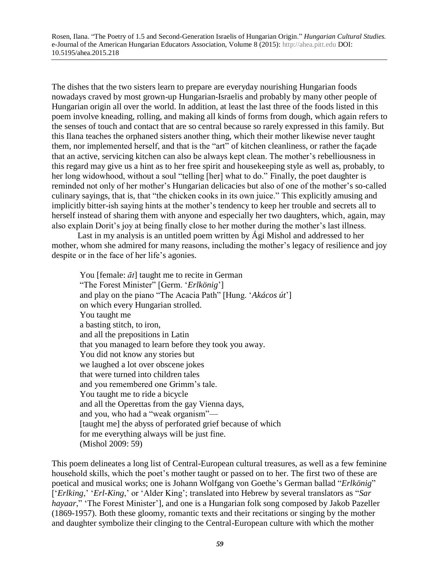The dishes that the two sisters learn to prepare are everyday nourishing Hungarian foods nowadays craved by most grown-up Hungarian-Israelis and probably by many other people of Hungarian origin all over the world. In addition, at least the last three of the foods listed in this poem involve kneading, rolling, and making all kinds of forms from dough, which again refers to the senses of touch and contact that are so central because so rarely expressed in this family. But this Ilana teaches the orphaned sisters another thing, which their mother likewise never taught them, nor implemented herself, and that is the "art" of kitchen cleanliness, or rather the façade that an active, servicing kitchen can also be always kept clean. The mother's rebelliousness in this regard may give us a hint as to her free spirit and housekeeping style as well as, probably, to her long widowhood, without a soul "telling [her] what to do." Finally, the poet daughter is reminded not only of her mother's Hungarian delicacies but also of one of the mother's so-called culinary sayings, that is, that "the chicken cooks in its own juice." This explicitly amusing and implicitly bitter-ish saying hints at the mother's tendency to keep her trouble and secrets all to herself instead of sharing them with anyone and especially her two daughters, which, again, may also explain Dorit's joy at being finally close to her mother during the mother's last illness.

Last in my analysis is an untitled poem written by Ági Mishol and addressed to her mother, whom she admired for many reasons, including the mother's legacy of resilience and joy despite or in the face of her life's agonies.

You [female: *āt*] taught me to recite in German "The Forest Minister" [Germ. '*Erlkönig*'] and play on the piano "The Acacia Path" [Hung. '*Akácos út*'] on which every Hungarian strolled. You taught me a basting stitch, to iron, and all the prepositions in Latin that you managed to learn before they took you away. You did not know any stories but we laughed a lot over obscene jokes that were turned into children tales and you remembered one Grimm's tale. You taught me to ride a bicycle and all the Operettas from the gay Vienna days, and you, who had a "weak organism"— [taught me] the abyss of perforated grief because of which for me everything always will be just fine. (Mishol 2009: 59)

This poem delineates a long list of Central-European cultural treasures, as well as a few feminine household skills, which the poet's mother taught or passed on to her. The first two of these are poetical and musical works; one is Johann Wolfgang von Goethe's German ballad "*Erlkönig*" ['*Erlking*,' '*Erl-King*,' or 'Alder King'; translated into Hebrew by several translators as "*Sar hayaar*," 'The Forest Minister'], and one is a Hungarian folk song composed by Jakob Pazeller (1869-1957). Both these gloomy, romantic texts and their recitations or singing by the mother and daughter symbolize their clinging to the Central-European culture with which the mother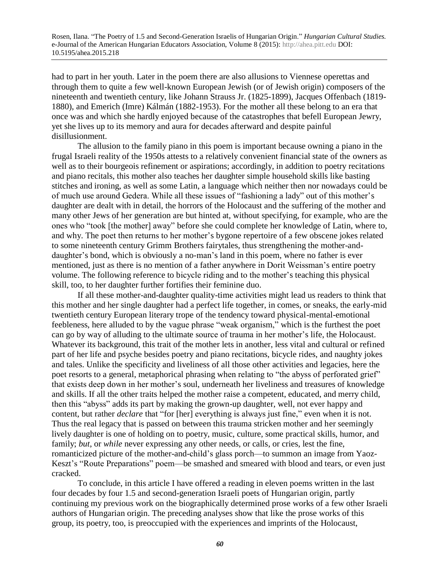had to part in her youth. Later in the poem there are also allusions to Viennese operettas and through them to quite a few well-known European Jewish (or of Jewish origin) composers of the nineteenth and twentieth century, like Johann Strauss Jr. (1825-1899), Jacques Offenbach (1819- 1880), and Emerich (Imre) Kálmán (1882-1953). For the mother all these belong to an era that once was and which she hardly enjoyed because of the catastrophes that befell European Jewry, yet she lives up to its memory and aura for decades afterward and despite painful disillusionment.

The allusion to the family piano in this poem is important because owning a piano in the frugal Israeli reality of the 1950s attests to a relatively convenient financial state of the owners as well as to their bourgeois refinement or aspirations; accordingly, in addition to poetry recitations and piano recitals, this mother also teaches her daughter simple household skills like basting stitches and ironing, as well as some Latin, a language which neither then nor nowadays could be of much use around Gedera. While all these issues of "fashioning a lady" out of this mother's daughter are dealt with in detail, the horrors of the Holocaust and the suffering of the mother and many other Jews of her generation are but hinted at, without specifying, for example, who are the ones who "took [the mother] away" before she could complete her knowledge of Latin, where to, and why. The poet then returns to her mother's bygone repertoire of a few obscene jokes related to some nineteenth century Grimm Brothers fairytales, thus strengthening the mother-anddaughter's bond, which is obviously a no-man's land in this poem, where no father is ever mentioned, just as there is no mention of a father anywhere in Dorit Weissman's entire poetry volume. The following reference to bicycle riding and to the mother's teaching this physical skill, too, to her daughter further fortifies their feminine duo.

If all these mother-and-daughter quality-time activities might lead us readers to think that this mother and her single daughter had a perfect life together, in comes, or sneaks, the early-mid twentieth century European literary trope of the tendency toward physical-mental-emotional feebleness, here alluded to by the vague phrase "weak organism," which is the furthest the poet can go by way of alluding to the ultimate source of trauma in her mother's life, the Holocaust. Whatever its background, this trait of the mother lets in another, less vital and cultural or refined part of her life and psyche besides poetry and piano recitations, bicycle rides, and naughty jokes and tales. Unlike the specificity and liveliness of all those other activities and legacies, here the poet resorts to a general, metaphorical phrasing when relating to "the abyss of perforated grief" that exists deep down in her mother's soul, underneath her liveliness and treasures of knowledge and skills. If all the other traits helped the mother raise a competent, educated, and merry child, then this "abyss" adds its part by making the grown-up daughter, well, not ever happy and content, but rather *declare* that "for [her] everything is always just fine," even when it is not. Thus the real legacy that is passed on between this trauma stricken mother and her seemingly lively daughter is one of holding on to poetry, music, culture, some practical skills, humor, and family; *but*, or *while* never expressing any other needs, or calls, or cries, lest the fine, romanticized picture of the mother-and-child's glass porch—to summon an image from Yaoz-Keszt's "Route Preparations" poem—be smashed and smeared with blood and tears, or even just cracked.

To conclude, in this article I have offered a reading in eleven poems written in the last four decades by four 1.5 and second-generation Israeli poets of Hungarian origin, partly continuing my previous work on the biographically determined prose works of a few other Israeli authors of Hungarian origin. The preceding analyses show that like the prose works of this group, its poetry, too, is preoccupied with the experiences and imprints of the Holocaust,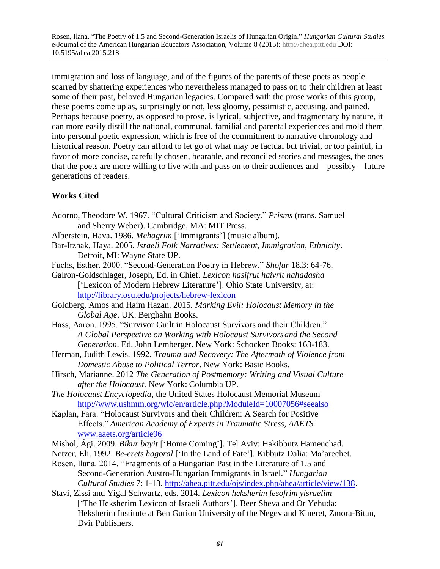immigration and loss of language, and of the figures of the parents of these poets as people scarred by shattering experiences who nevertheless managed to pass on to their children at least some of their past, beloved Hungarian legacies. Compared with the prose works of this group, these poems come up as, surprisingly or not, less gloomy, pessimistic, accusing, and pained. Perhaps because poetry, as opposed to prose, is lyrical, subjective, and fragmentary by nature, it can more easily distill the national, communal, familial and parental experiences and mold them into personal poetic expression, which is free of the commitment to narrative chronology and historical reason. Poetry can afford to let go of what may be factual but trivial, or too painful, in favor of more concise, carefully chosen, bearable, and reconciled stories and messages, the ones that the poets are more willing to live with and pass on to their audiences and—possibly—future generations of readers.

# **Works Cited**

- Adorno, Theodore W. 1967. "Cultural Criticism and Society." *Prisms* (trans. Samuel and Sherry Weber). Cambridge, MA: MIT Press.
- Alberstein, Hava. 1986. *Mehagrim* ['Immigrants'] (music album).
- Bar-Itzhak, Haya. 2005. *Israeli Folk Narratives: Settlement, Immigration, Ethnicity*. Detroit, MI: Wayne State UP.
- Fuchs, Esther. 2000. "Second-Generation Poetry in Hebrew." *Shofar* 18.3: 64-76.
- Galron-Goldschlager, Joseph, Ed. in Chief. *Lexicon hasifrut haivrit hahadasha* ['Lexicon of Modern Hebrew Literature']. Ohio State University, at: <http://library.osu.edu/projects/hebrew-lexicon>
- Goldberg, Amos and Haim Hazan. 2015. *Marking Evil: Holocaust Memory in the Global Age*. UK: Berghahn Books.
- Hass, Aaron. 1995. "Survivor Guilt in Holocaust Survivors and their Children." *A Global Perspective on Working with Holocaust Survivorsand the Second Generation*. Ed. John Lemberger. New York: Schocken Books: 163-183.
- Herman, Judith Lewis. 1992. *Trauma and Recovery: The Aftermath of Violence from Domestic Abuse to Political Terror*. New York: Basic Books.
- Hirsch, Marianne. 2012 *The Generation of Postmemory: Writing and Visual Culture after the Holocaust.* New York: Columbia UP.
- *The Holocaust Encyclopedia*, the United States Holocaust Memorial Museum <http://www.ushmm.org/wlc/en/article.php?ModuleId=10007056#seealso>
- Kaplan, Fara. "Holocaust Survivors and their Children: A Search for Positive Effects." *American Academy of Experts in Traumatic Stress, AAETS* [www.aaets.org/article96](http://www.aaets.org/article96)
- Mishol, Ági. 2009. *Bikur bayit* ['Home Coming']. Tel Aviv: Hakibbutz Hameuchad.
- Netzer, Eli. 1992. *Be-erets hagoral* ['In the Land of Fate']. Kibbutz Dalia: Ma'arechet.
- Rosen, Ilana. 2014. "Fragments of a Hungarian Past in the Literature of 1.5 and Second-Generation Austro-Hungarian Immigrants in Israel." *Hungarian Cultural Studies* 7: 1-13. [http://ahea.pitt.edu/ojs/index.php/ahea/article/view/138.](http://ahea.pitt.edu/ojs/index.php/ahea/article/view/138)
- Stavi, Zissi and Yigal Schwartz, eds. 2014. *Lexicon heksherim lesofrim yisraelim*  ['The Heksherim Lexicon of Israeli Authors']. Beer Sheva and Or Yehuda: Heksherim Institute at Ben Gurion University of the Negev and Kineret, Zmora-Bitan, Dvir Publishers.